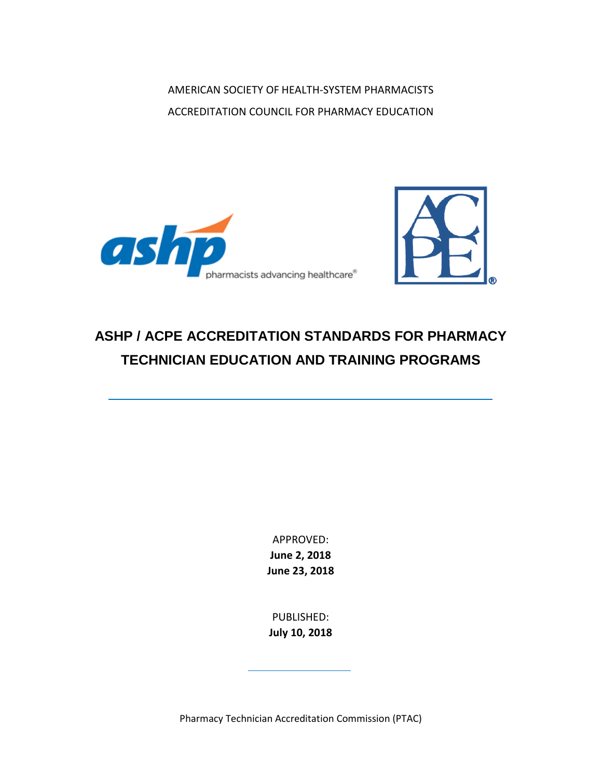AMERICAN SOCIETY OF HEALTH-SYSTEM PHARMACISTS ACCREDITATION COUNCIL FOR PHARMACY EDUCATION





# **ASHP / ACPE ACCREDITATION STANDARDS FOR PHARMACY TECHNICIAN EDUCATION AND TRAINING PROGRAMS**

APPROVED: **June 2, 2018 June 23, 2018**

PUBLISHED: **July 10, 2018**

Pharmacy Technician Accreditation Commission (PTAC)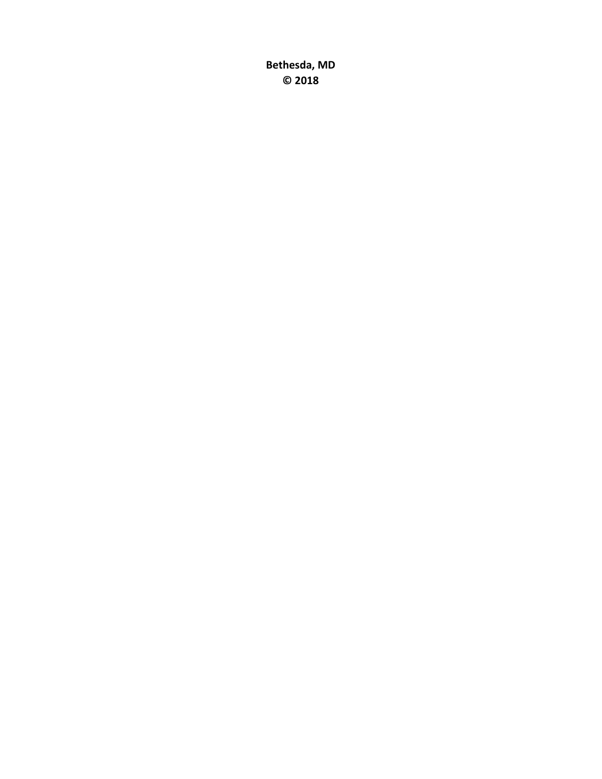**Bethesda, MD © 2018**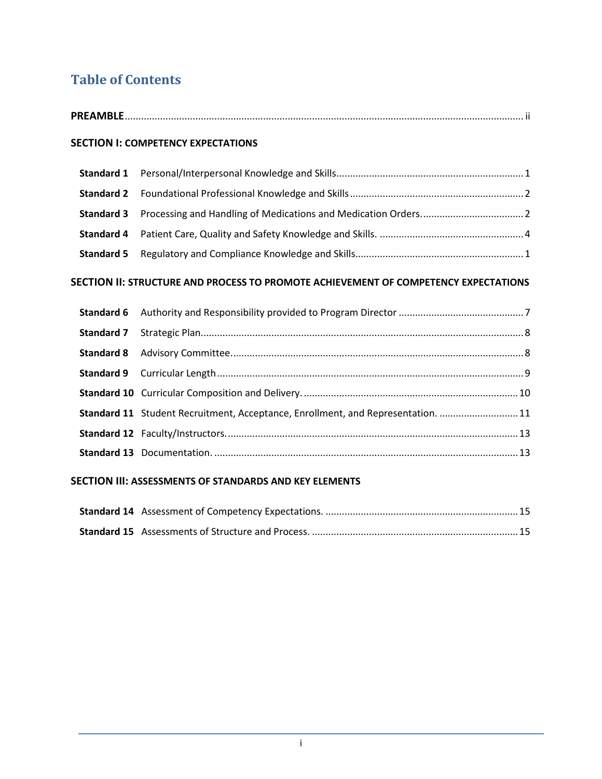## **Table of Contents**

|                   | <b>SECTION I: COMPETENCY EXPECTATIONS</b>                                           |
|-------------------|-------------------------------------------------------------------------------------|
| Standard 1        |                                                                                     |
| <b>Standard 2</b> |                                                                                     |
| <b>Standard 3</b> |                                                                                     |
| <b>Standard 4</b> |                                                                                     |
| <b>Standard 5</b> |                                                                                     |
|                   | SECTION II: STRUCTURE AND PROCESS TO PROMOTE ACHIEVEMENT OF COMPETENCY EXPECTATIONS |
| <b>Standard 6</b> |                                                                                     |
| <b>Standard 7</b> |                                                                                     |
| <b>Standard 8</b> |                                                                                     |
| <b>Standard 9</b> |                                                                                     |

|  | Standard 11 Student Recruitment, Acceptance, Enrollment, and Representation.  11 |  |
|--|----------------------------------------------------------------------------------|--|
|  |                                                                                  |  |
|  |                                                                                  |  |
|  |                                                                                  |  |

## **SECTION III: ASSESSMENTS OF STANDARDS AND KEY ELEMENTS**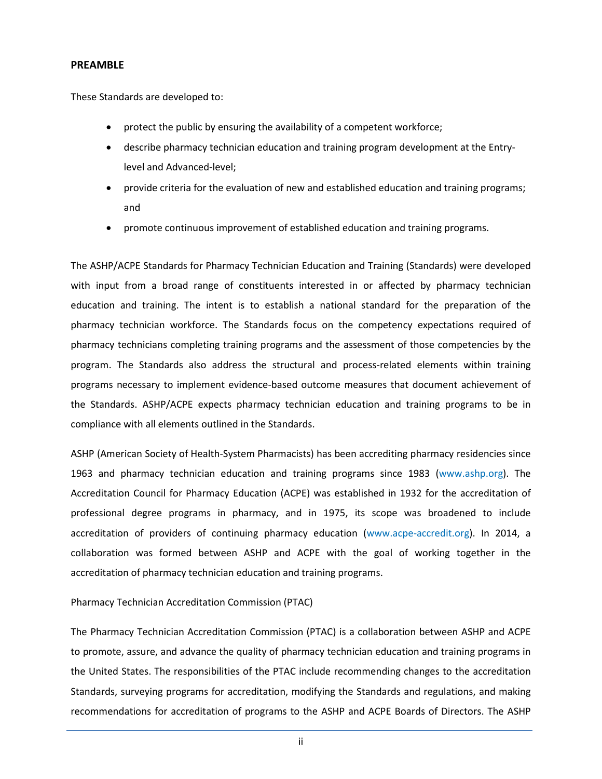## <span id="page-3-0"></span>**PREAMBLE**

These Standards are developed to:

- protect the public by ensuring the availability of a competent workforce;
- describe pharmacy technician education and training program development at the Entrylevel and Advanced-level;
- provide criteria for the evaluation of new and established education and training programs; and
- promote continuous improvement of established education and training programs.

The ASHP/ACPE Standards for Pharmacy Technician Education and Training (Standards) were developed with input from a broad range of constituents interested in or affected by pharmacy technician education and training. The intent is to establish a national standard for the preparation of the pharmacy technician workforce. The Standards focus on the competency expectations required of pharmacy technicians completing training programs and the assessment of those competencies by the program. The Standards also address the structural and process-related elements within training programs necessary to implement evidence-based outcome measures that document achievement of the Standards. ASHP/ACPE expects pharmacy technician education and training programs to be in compliance with all elements outlined in the Standards.

ASHP (American Society of Health-System Pharmacists) has been accrediting pharmacy residencies since 1963 and pharmacy technician education and training programs since 1983 (www.ashp.org). The Accreditation Council for Pharmacy Education (ACPE) was established in 1932 for the accreditation of professional degree programs in pharmacy, and in 1975, its scope was broadened to include accreditation of providers of continuing pharmacy education (www.acpe-accredit.org). In 2014, a collaboration was formed between ASHP and ACPE with the goal of working together in the accreditation of pharmacy technician education and training programs.

Pharmacy Technician Accreditation Commission (PTAC)

The Pharmacy Technician Accreditation Commission (PTAC) is a collaboration between ASHP and ACPE to promote, assure, and advance the quality of pharmacy technician education and training programs in the United States. The responsibilities of the PTAC include recommending changes to the accreditation Standards, surveying programs for accreditation, modifying the Standards and regulations, and making recommendations for accreditation of programs to the ASHP and ACPE Boards of Directors. The ASHP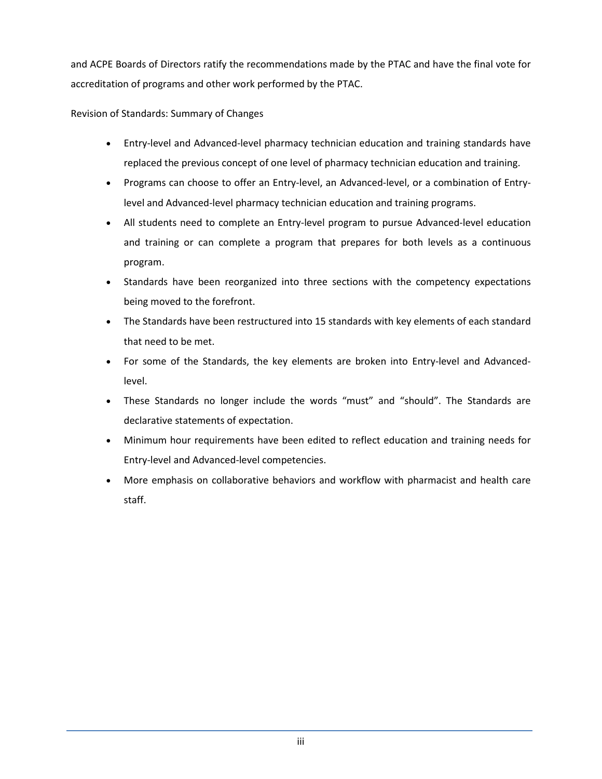and ACPE Boards of Directors ratify the recommendations made by the PTAC and have the final vote for accreditation of programs and other work performed by the PTAC.

Revision of Standards: Summary of Changes

- Entry-level and Advanced-level pharmacy technician education and training standards have replaced the previous concept of one level of pharmacy technician education and training.
- Programs can choose to offer an Entry-level, an Advanced-level, or a combination of Entrylevel and Advanced-level pharmacy technician education and training programs.
- All students need to complete an Entry-level program to pursue Advanced-level education and training or can complete a program that prepares for both levels as a continuous program.
- Standards have been reorganized into three sections with the competency expectations being moved to the forefront.
- The Standards have been restructured into 15 standards with key elements of each standard that need to be met.
- For some of the Standards, the key elements are broken into Entry-level and Advancedlevel.
- These Standards no longer include the words "must" and "should". The Standards are declarative statements of expectation.
- Minimum hour requirements have been edited to reflect education and training needs for Entry-level and Advanced-level competencies.
- More emphasis on collaborative behaviors and workflow with pharmacist and health care staff.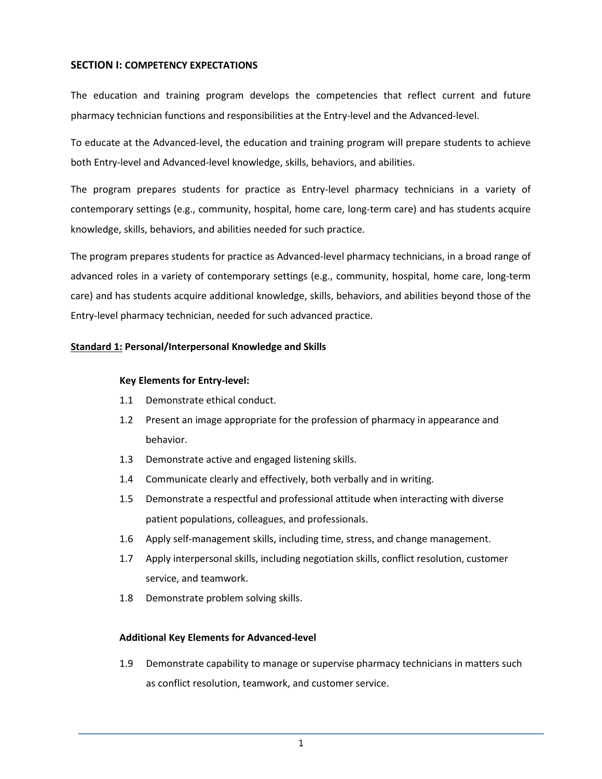## **SECTION I: COMPETENCY EXPECTATIONS**

The education and training program develops the competencies that reflect current and future pharmacy technician functions and responsibilities at the Entry-level and the Advanced-level.

To educate at the Advanced-level, the education and training program will prepare students to achieve both Entry-level and Advanced-level knowledge, skills, behaviors, and abilities.

The program prepares students for practice as Entry-level pharmacy technicians in a variety of contemporary settings (e.g., community, hospital, home care, long-term care) and has students acquire knowledge, skills, behaviors, and abilities needed for such practice.

The program prepares students for practice as Advanced-level pharmacy technicians, in a broad range of advanced roles in a variety of contemporary settings (e.g., community, hospital, home care, long-term care) and has students acquire additional knowledge, skills, behaviors, and abilities beyond those of the Entry-level pharmacy technician, needed for such advanced practice.

## **Standard 1: Personal/Interpersonal Knowledge and Skills**

## **Key Elements for Entry-level:**

- <span id="page-5-0"></span>1.1 Demonstrate ethical conduct.
- <span id="page-5-1"></span>1.2 Present an image appropriate for the profession of pharmacy in appearance and behavior.
- <span id="page-5-2"></span>1.3 Demonstrate active and engaged listening skills.
- <span id="page-5-3"></span>1.4 Communicate clearly and effectively, both verbally and in writing.
- <span id="page-5-4"></span>1.5 Demonstrate a respectful and professional attitude when interacting with diverse patient populations, colleagues, and professionals.
- <span id="page-5-5"></span>1.6 Apply self-management skills, including time, stress, and change management.
- <span id="page-5-6"></span>1.7 Apply interpersonal skills, including negotiation skills, conflict resolution, customer service, and teamwork.
- <span id="page-5-7"></span>1.8 Demonstrate problem solving skills.

## **Additional Key Elements for Advanced-level**

<span id="page-5-8"></span>1.9 Demonstrate capability to manage or supervise pharmacy technicians in matters such as conflict resolution, teamwork, and customer service.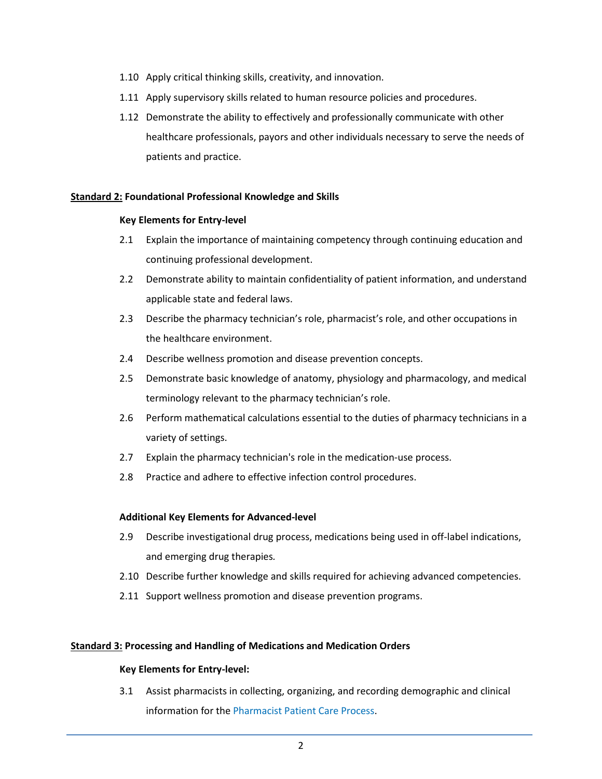- <span id="page-6-0"></span>1.10 Apply critical thinking skills, creativity, and innovation.
- <span id="page-6-1"></span>1.11 Apply supervisory skills related to human resource policies and procedures.
- <span id="page-6-2"></span>1.12 Demonstrate the ability to effectively and professionally communicate with other healthcare professionals, payors and other individuals necessary to serve the needs of patients and practice.

#### **Standard 2: Foundational Professional Knowledge and Skills**

#### **Key Elements for Entry-level**

- 2.1 Explain the importance of maintaining competency through continuing education and continuing professional development.
- 2.2 Demonstrate ability to maintain confidentiality of patient information, and understand applicable state and federal laws.
- 2.3 Describe the pharmacy technician's role, pharmacist's role, and other occupations in the healthcare environment.
- 2.4 Describe wellness promotion and disease prevention concepts.
- 2.5 Demonstrate basic knowledge of anatomy, physiology and pharmacology, and medical terminology relevant to the pharmacy technician's role.
- 2.6 Perform mathematical calculations essential to the duties of pharmacy technicians in a variety of settings.
- 2.7 Explain the pharmacy technician's role in the medication-use process.
- 2.8 Practice and adhere to effective infection control procedures.

#### **Additional Key Elements for Advanced-level**

- 2.9 Describe investigational drug process, medications being used in off-label indications, and emerging drug therapies*.*
- 2.10 Describe further knowledge and skills required for achieving advanced competencies.
- 2.11 Support wellness promotion and disease prevention programs.

#### **Standard 3: Processing and Handling of Medications and Medication Orders**

#### **Key Elements for Entry-level:**

3.1 Assist pharmacists in collecting, organizing, and recording demographic and clinical information for the [Pharmacist Patient Care Process.](https://jcpp.net/patient-care-process/)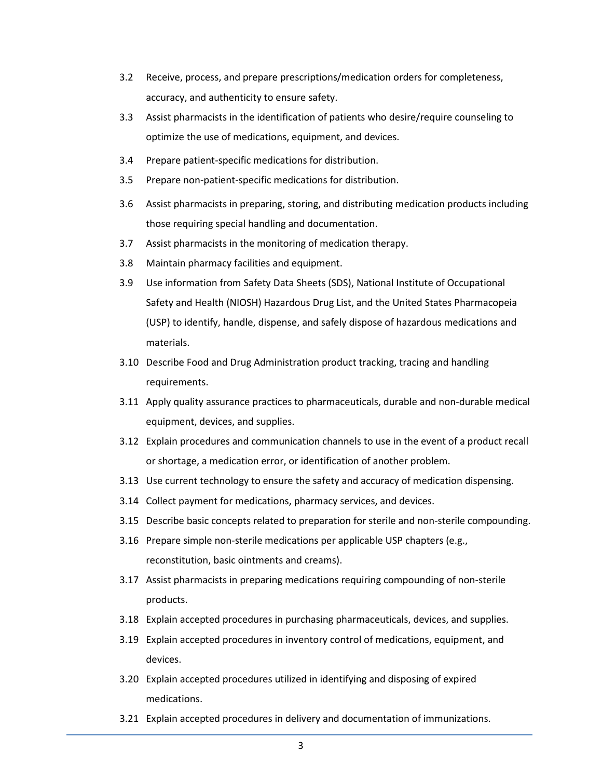- 3.2 Receive, process, and prepare prescriptions/medication orders for completeness, accuracy, and authenticity to ensure safety.
- 3.3 Assist pharmacists in the identification of patients who desire/require counseling to optimize the use of medications, equipment, and devices.
- 3.4 Prepare patient-specific medications for distribution.
- 3.5 Prepare non-patient-specific medications for distribution.
- 3.6 Assist pharmacists in preparing, storing, and distributing medication products including those requiring special handling and documentation.
- 3.7 Assist pharmacists in the monitoring of medication therapy.
- 3.8 Maintain pharmacy facilities and equipment.
- 3.9 Use information from Safety Data Sheets (SDS), National Institute of Occupational Safety and Health (NIOSH) Hazardous Drug List, and the United States Pharmacopeia (USP) to identify, handle, dispense, and safely dispose of hazardous medications and materials.
- 3.10 Describe Food and Drug Administration product tracking, tracing and handling requirements.
- 3.11 Apply quality assurance practices to pharmaceuticals, durable and non-durable medical equipment, devices, and supplies.
- 3.12 Explain procedures and communication channels to use in the event of a product recall or shortage, a medication error, or identification of another problem.
- 3.13 Use current technology to ensure the safety and accuracy of medication dispensing.
- 3.14 Collect payment for medications, pharmacy services, and devices.
- 3.15 Describe basic concepts related to preparation for sterile and non-sterile compounding.
- 3.16 Prepare simple non-sterile medications per applicable USP chapters (e.g., reconstitution, basic ointments and creams).
- 3.17 Assist pharmacists in preparing medications requiring compounding of non-sterile products.
- 3.18 Explain accepted procedures in purchasing pharmaceuticals, devices, and supplies.
- 3.19 Explain accepted procedures in inventory control of medications, equipment, and devices.
- 3.20 Explain accepted procedures utilized in identifying and disposing of expired medications.
- 3.21 Explain accepted procedures in delivery and documentation of immunizations.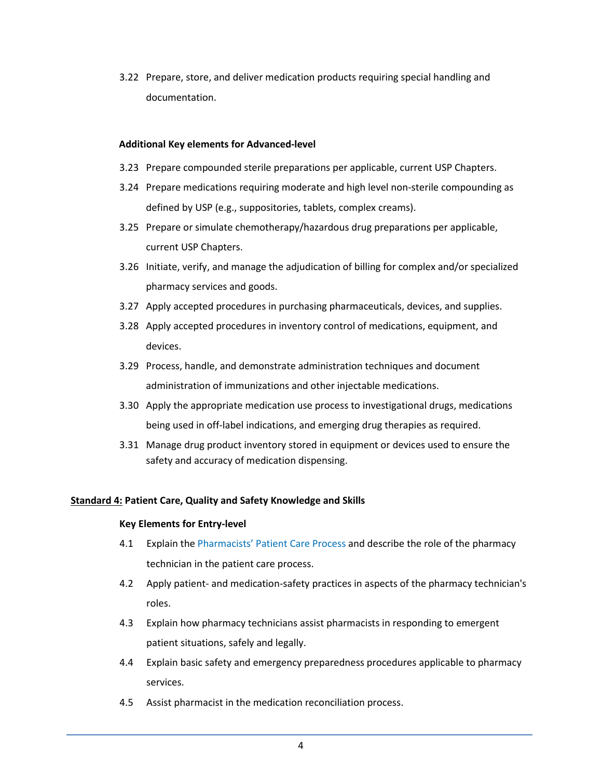3.22 Prepare, store, and deliver medication products requiring special handling and documentation.

## **Additional Key elements for Advanced-level**

- 3.23 Prepare compounded sterile preparations per applicable, current USP Chapters.
- 3.24 Prepare medications requiring moderate and high level non-sterile compounding as defined by USP (e.g., suppositories, tablets, complex creams).
- 3.25 Prepare or simulate chemotherapy/hazardous drug preparations per applicable, current USP Chapters.
- 3.26 Initiate, verify, and manage the adjudication of billing for complex and/or specialized pharmacy services and goods.
- 3.27 Apply accepted procedures in purchasing pharmaceuticals, devices, and supplies.
- 3.28 Apply accepted procedures in inventory control of medications, equipment, and devices.
- 3.29 Process, handle, and demonstrate administration techniques and document administration of immunizations and other injectable medications.
- 3.30 Apply the appropriate medication use process to investigational drugs, medications being used in off-label indications, and emerging drug therapies as required.
- 3.31 Manage drug product inventory stored in equipment or devices used to ensure the safety and accuracy of medication dispensing.

## **Standard 4: Patient Care, Quality and Safety Knowledge and Skills**

#### **Key Elements for Entry-level**

- 4.1 Explain the [Pharmacists' Patient Care Process a](https://jcpp.net/patient-care-process/)nd describe the role of the pharmacy technician in the patient care process.
- 4.2 Apply patient- and medication-safety practices in aspects of the pharmacy technician's roles.
- 4.3 Explain how pharmacy technicians assist pharmacists in responding to emergent patient situations, safely and legally.
- 4.4 Explain basic safety and emergency preparedness procedures applicable to pharmacy services.
- 4.5 Assist pharmacist in the medication reconciliation process.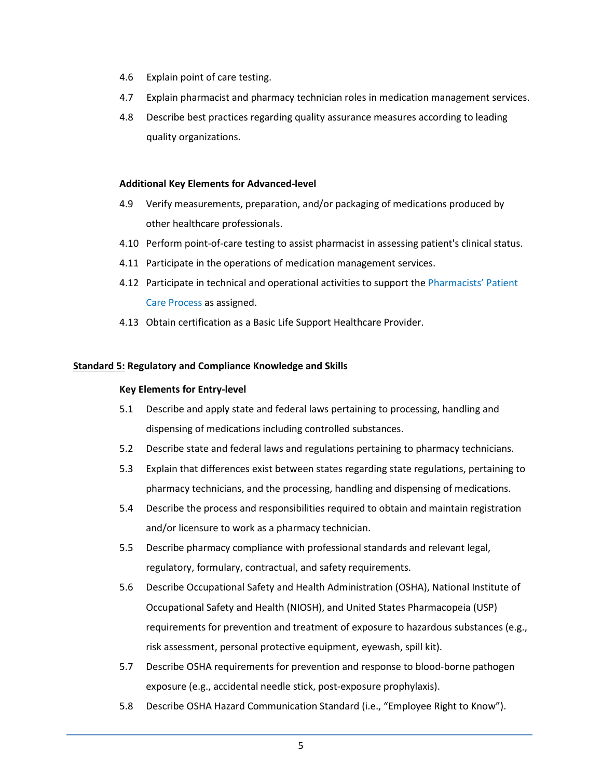- 4.6 Explain point of care testing.
- 4.7 Explain pharmacist and pharmacy technician roles in medication management services.
- 4.8 Describe best practices regarding quality assurance measures according to leading quality organizations.

## **Additional Key Elements for Advanced-level**

- 4.9 Verify measurements, preparation, and/or packaging of medications produced by other healthcare professionals.
- 4.10 Perform point-of-care testing to assist pharmacist in assessing patient's clinical status.
- 4.11 Participate in the operations of medication management services.
- 4.12 Participate in technical and operational activities to support th[e Pharmacists' Patient](https://jcpp.net/patient-care-process/)  [Care Process](https://jcpp.net/patient-care-process/) as assigned.
- 4.13 Obtain certification as a Basic Life Support Healthcare Provider.

## **Standard 5: Regulatory and Compliance Knowledge and Skills**

## **Key Elements for Entry-level**

- 5.1 Describe and apply state and federal laws pertaining to processing, handling and dispensing of medications including controlled substances.
- 5.2 Describe state and federal laws and regulations pertaining to pharmacy technicians.
- 5.3 Explain that differences exist between states regarding state regulations, pertaining to pharmacy technicians, and the processing, handling and dispensing of medications.
- 5.4 Describe the process and responsibilities required to obtain and maintain registration and/or licensure to work as a pharmacy technician.
- 5.5 Describe pharmacy compliance with professional standards and relevant legal, regulatory, formulary, contractual, and safety requirements.
- 5.6 Describe Occupational Safety and Health Administration (OSHA), National Institute of Occupational Safety and Health (NIOSH), and United States Pharmacopeia (USP) requirements for prevention and treatment of exposure to hazardous substances (e.g., risk assessment, personal protective equipment, eyewash, spill kit).
- 5.7 Describe OSHA requirements for prevention and response to blood-borne pathogen exposure (e.g., accidental needle stick, post-exposure prophylaxis).
- 5.8 Describe OSHA Hazard Communication Standard (i.e., "Employee Right to Know").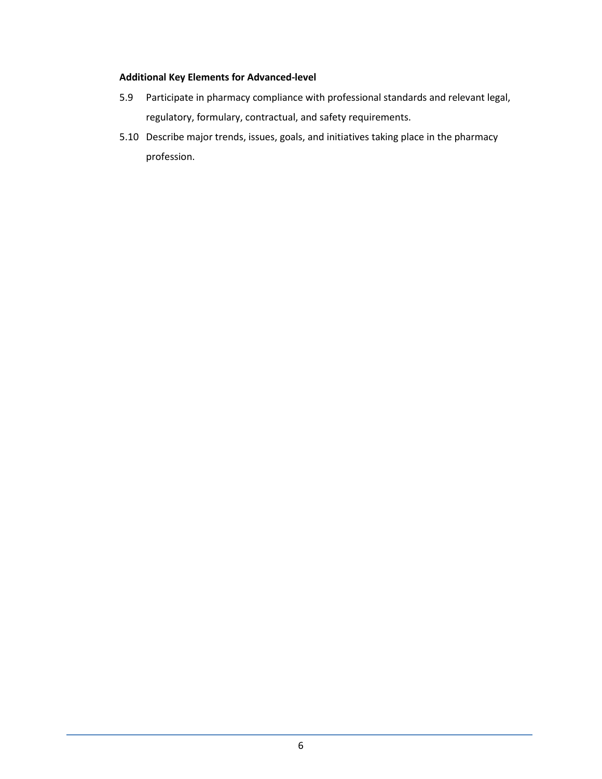## **Additional Key Elements for Advanced-level**

- 5.9 Participate in pharmacy compliance with professional standards and relevant legal, regulatory, formulary, contractual, and safety requirements.
- 5.10 Describe major trends, issues, goals, and initiatives taking place in the pharmacy profession.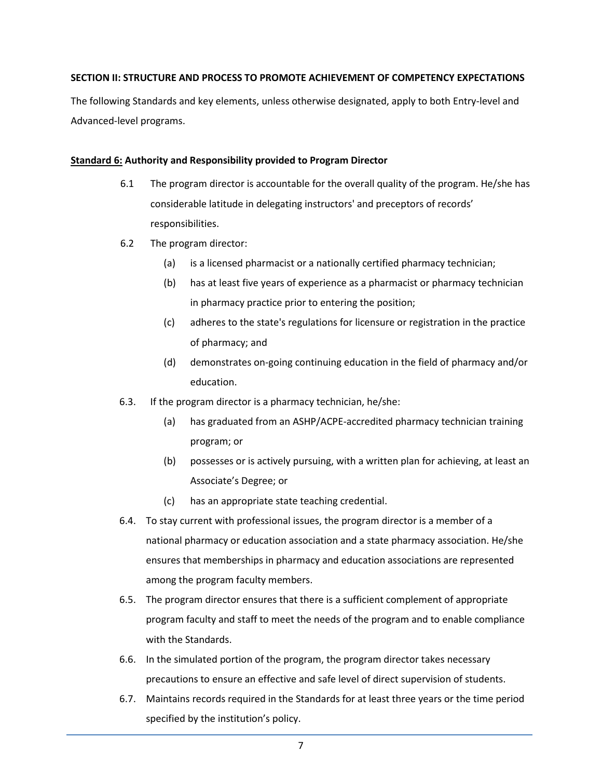## **SECTION II: STRUCTURE AND PROCESS TO PROMOTE ACHIEVEMENT OF COMPETENCY EXPECTATIONS**

The following Standards and key elements, unless otherwise designated, apply to both Entry-level and Advanced-level programs.

## **Standard 6: Authority and Responsibility provided to Program Director**

- 6.1 The program director is accountable for the overall quality of the program. He/she has considerable latitude in delegating instructors' and preceptors of records' responsibilities.
- 6.2 The program director:
	- (a) is a licensed pharmacist or a nationally certified pharmacy technician;
	- (b) has at least five years of experience as a pharmacist or pharmacy technician in pharmacy practice prior to entering the position;
	- (c) adheres to the state's regulations for licensure or registration in the practice of pharmacy; and
	- (d) demonstrates on-going continuing education in the field of pharmacy and/or education.
- 6.3. If the program director is a pharmacy technician, he/she:
	- (a) has graduated from an ASHP/ACPE-accredited pharmacy technician training program; or
	- (b) possesses or is actively pursuing, with a written plan for achieving, at least an Associate's Degree; or
	- (c) has an appropriate state teaching credential.
- 6.4. To stay current with professional issues, the program director is a member of a national pharmacy or education association and a state pharmacy association. He/she ensures that memberships in pharmacy and education associations are represented among the program faculty members.
- 6.5. The program director ensures that there is a sufficient complement of appropriate program faculty and staff to meet the needs of the program and to enable compliance with the Standards.
- 6.6. In the simulated portion of the program, the program director takes necessary precautions to ensure an effective and safe level of direct supervision of students.
- 6.7. Maintains records required in the Standards for at least three years or the time period specified by the institution's policy.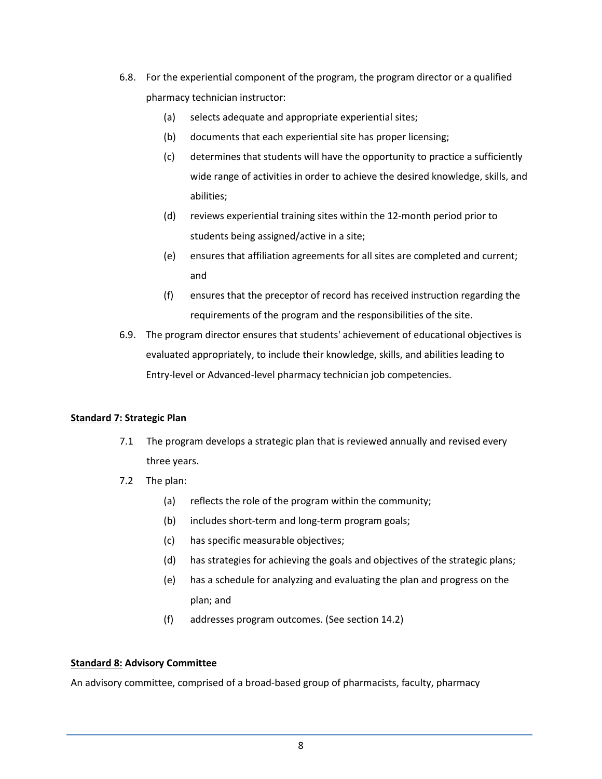- 6.8. For the experiential component of the program, the program director or a qualified pharmacy technician instructor:
	- (a) selects adequate and appropriate experiential sites;
	- (b) documents that each experiential site has proper licensing;
	- (c) determines that students will have the opportunity to practice a sufficiently wide range of activities in order to achieve the desired knowledge, skills, and abilities;
	- (d) reviews experiential training sites within the 12-month period prior to students being assigned/active in a site;
	- (e) ensures that affiliation agreements for all sites are completed and current; and
	- (f) ensures that the preceptor of record has received instruction regarding the requirements of the program and the responsibilities of the site.
- 6.9. The program director ensures that students' achievement of educational objectives is evaluated appropriately, to include their knowledge, skills, and abilities leading to Entry-level or Advanced-level pharmacy technician job competencies.

## **Standard 7: Strategic Plan**

- 7.1 The program develops a strategic plan that is reviewed annually and revised every three years.
- 7.2 The plan:
	- (a) reflects the role of the program within the community;
	- (b) includes short-term and long-term program goals;
	- (c) has specific measurable objectives;
	- (d) has strategies for achieving the goals and objectives of the strategic plans;
	- (e) has a schedule for analyzing and evaluating the plan and progress on the plan; and
	- (f) addresses program outcomes. (See section 14.2)

## **Standard 8: Advisory Committee**

An advisory committee, comprised of a broad-based group of pharmacists, faculty, pharmacy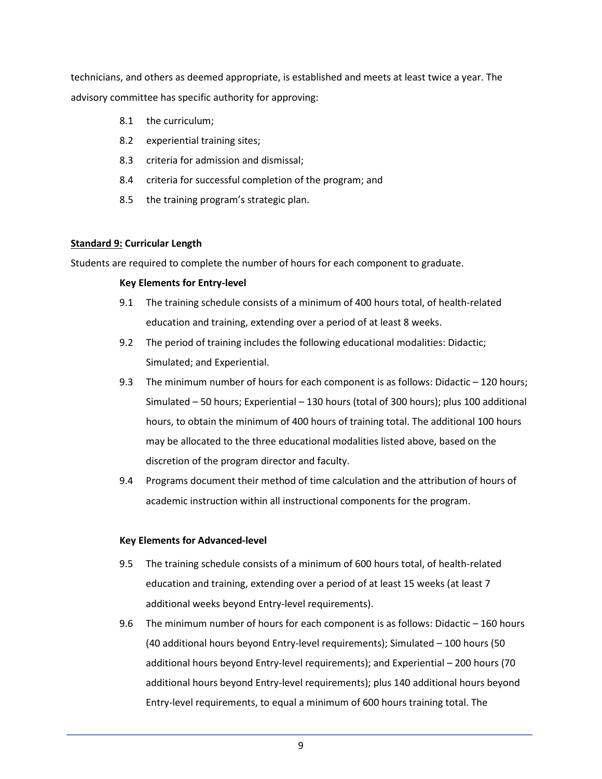technicians, and others as deemed appropriate, is established and meets at least twice a year. The advisory committee has specific authority for approving:

- 8.1 the curriculum;
- 8.2 experiential training sites;
- 8.3 criteria for admission and dismissal;
- 8.4 criteria for successful completion of the program; and
- 8.5 the training program's strategic plan.

## **Standard 9: Curricular Length**

Students are required to complete the number of hours for each component to graduate.

## **Key Elements for Entry-level**

- 9.1 The training schedule consists of a minimum of 400 hours total, of health-related education and training, extending over a period of at least 8 weeks.
- 9.2 The period of training includes the following educational modalities: Didactic; Simulated; and Experiential.
- 9.3 The minimum number of hours for each component is as follows: Didactic 120 hours; Simulated – 50 hours; Experiential – 130 hours (total of 300 hours); plus 100 additional hours, to obtain the minimum of 400 hours of training total. The additional 100 hours may be allocated to the three educational modalities listed above, based on the discretion of the program director and faculty.
- 9.4 Programs document their method of time calculation and the attribution of hours of academic instruction within all instructional components for the program.

## **Key Elements for Advanced-level**

- 9.5 The training schedule consists of a minimum of 600 hours total, of health-related education and training, extending over a period of at least 15 weeks (at least 7 additional weeks beyond Entry-level requirements).
- 9.6 The minimum number of hours for each component is as follows: Didactic 160 hours (40 additional hours beyond Entry-level requirements); Simulated – 100 hours (50 additional hours beyond Entry-level requirements); and Experiential – 200 hours (70 additional hours beyond Entry-level requirements); plus 140 additional hours beyond Entry-level requirements, to equal a minimum of 600 hours training total. The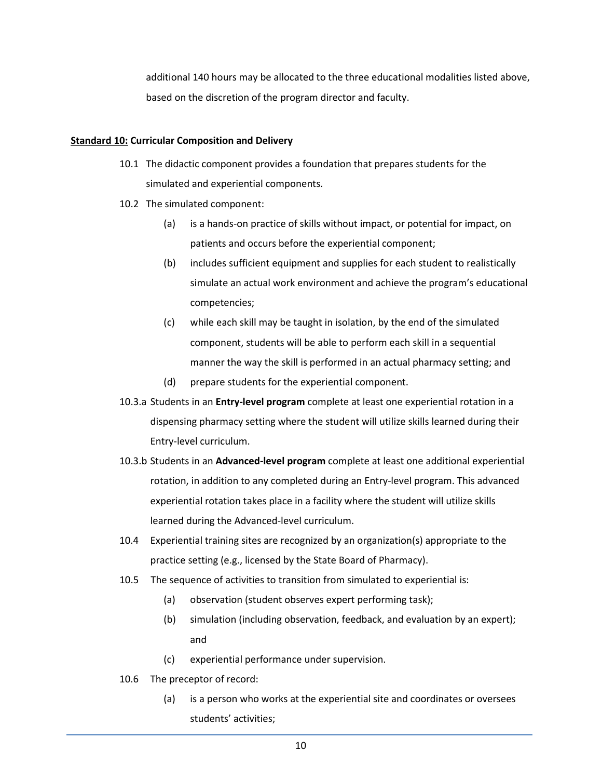additional 140 hours may be allocated to the three educational modalities listed above, based on the discretion of the program director and faculty.

### **Standard 10: Curricular Composition and Delivery**

- 10.1 The didactic component provides a foundation that prepares students for the simulated and experiential components.
- 10.2 The simulated component:
	- (a) is a hands-on practice of skills without impact, or potential for impact, on patients and occurs before the experiential component;
	- (b) includes sufficient equipment and supplies for each student to realistically simulate an actual work environment and achieve the program's educational competencies;
	- (c) while each skill may be taught in isolation, by the end of the simulated component, students will be able to perform each skill in a sequential manner the way the skill is performed in an actual pharmacy setting; and
	- (d) prepare students for the experiential component.
- 10.3.a Students in an **Entry-level program** complete at least one experiential rotation in a dispensing pharmacy setting where the student will utilize skills learned during their Entry-level curriculum.
- 10.3.b Students in an **Advanced-level program** complete at least one additional experiential rotation, in addition to any completed during an Entry-level program. This advanced experiential rotation takes place in a facility where the student will utilize skills learned during the Advanced-level curriculum.
- 10.4 Experiential training sites are recognized by an organization(s) appropriate to the practice setting (e.g., licensed by the State Board of Pharmacy).
- 10.5 The sequence of activities to transition from simulated to experiential is:
	- (a) observation (student observes expert performing task);
	- (b) simulation (including observation, feedback, and evaluation by an expert); and
	- (c) experiential performance under supervision.
- 10.6 The preceptor of record:
	- (a) is a person who works at the experiential site and coordinates or oversees students' activities;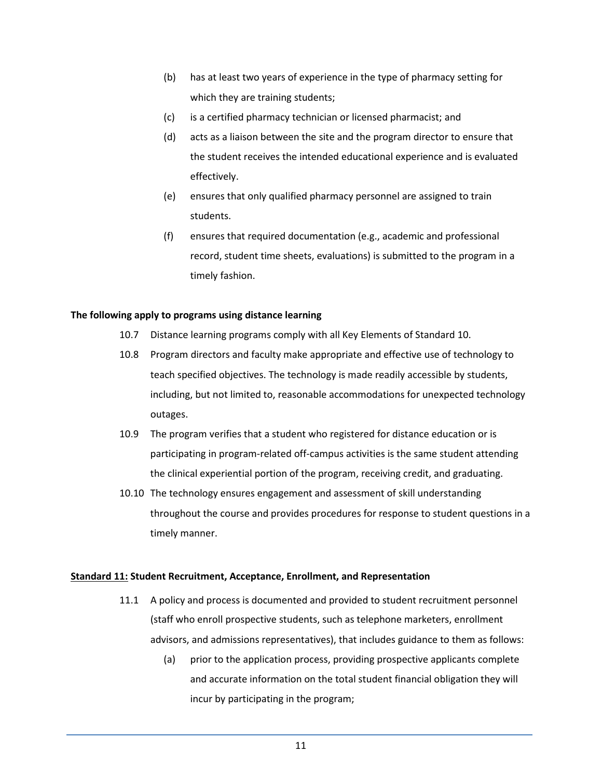- (b) has at least two years of experience in the type of pharmacy setting for which they are training students;
- (c) is a certified pharmacy technician or licensed pharmacist; and
- (d) acts as a liaison between the site and the program director to ensure that the student receives the intended educational experience and is evaluated effectively.
- (e) ensures that only qualified pharmacy personnel are assigned to train students.
- (f) ensures that required documentation (e.g., academic and professional record, student time sheets, evaluations) is submitted to the program in a timely fashion.

## **The following apply to programs using distance learning**

- 10.7 Distance learning programs comply with all Key Elements of Standard 10.
- 10.8 Program directors and faculty make appropriate and effective use of technology to teach specified objectives. The technology is made readily accessible by students, including, but not limited to, reasonable accommodations for unexpected technology outages.
- 10.9 The program verifies that a student who registered for distance education or is participating in program-related off-campus activities is the same student attending the clinical experiential portion of the program, receiving credit, and graduating.
- 10.10 The technology ensures engagement and assessment of skill understanding throughout the course and provides procedures for response to student questions in a timely manner.

## **Standard 11: Student Recruitment, Acceptance, Enrollment, and Representation**

- 11.1 A policy and process is documented and provided to student recruitment personnel (staff who enroll prospective students, such as telephone marketers, enrollment advisors, and admissions representatives), that includes guidance to them as follows:
	- (a) prior to the application process, providing prospective applicants complete and accurate information on the total student financial obligation they will incur by participating in the program;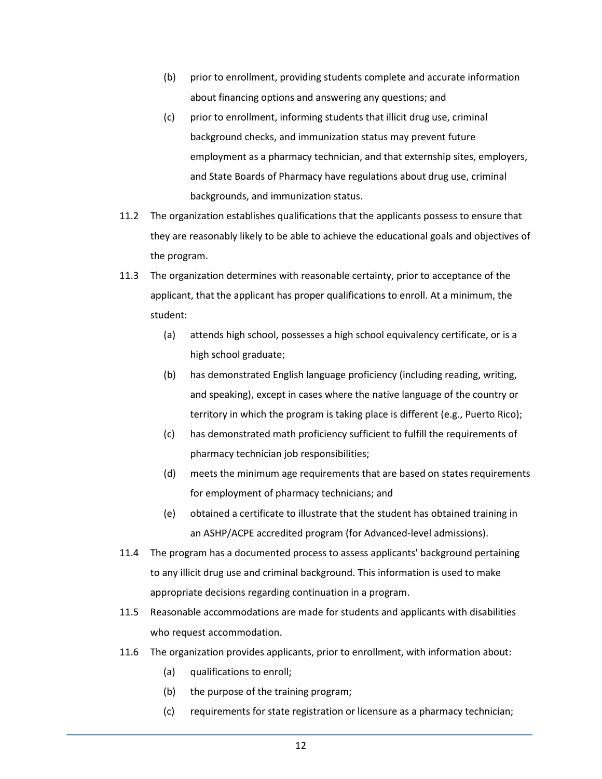- (b) prior to enrollment, providing students complete and accurate information about financing options and answering any questions; and
- (c) prior to enrollment, informing students that illicit drug use, criminal background checks, and immunization status may prevent future employment as a pharmacy technician, and that externship sites, employers, and State Boards of Pharmacy have regulations about drug use, criminal backgrounds, and immunization status.
- 11.2 The organization establishes qualifications that the applicants possess to ensure that they are reasonably likely to be able to achieve the educational goals and objectives of the program.
- 11.3 The organization determines with reasonable certainty, prior to acceptance of the applicant, that the applicant has proper qualifications to enroll. At a minimum, the student:
	- (a) attends high school, possesses a high school equivalency certificate, or is a high school graduate;
	- (b) has demonstrated English language proficiency (including reading, writing, and speaking), except in cases where the native language of the country or territory in which the program is taking place is different (e.g., Puerto Rico);
	- (c) has demonstrated math proficiency sufficient to fulfill the requirements of pharmacy technician job responsibilities;
	- (d) meets the minimum age requirements that are based on states requirements for employment of pharmacy technicians; and
	- (e) obtained a certificate to illustrate that the student has obtained training in an ASHP/ACPE accredited program (for Advanced-level admissions).
- 11.4 The program has a documented process to assess applicants' background pertaining to any illicit drug use and criminal background. This information is used to make appropriate decisions regarding continuation in a program.
- 11.5 Reasonable accommodations are made for students and applicants with disabilities who request accommodation.
- 11.6 The organization provides applicants, prior to enrollment, with information about:
	- (a) qualifications to enroll;
	- (b) the purpose of the training program;
	- (c) requirements for state registration or licensure as a pharmacy technician;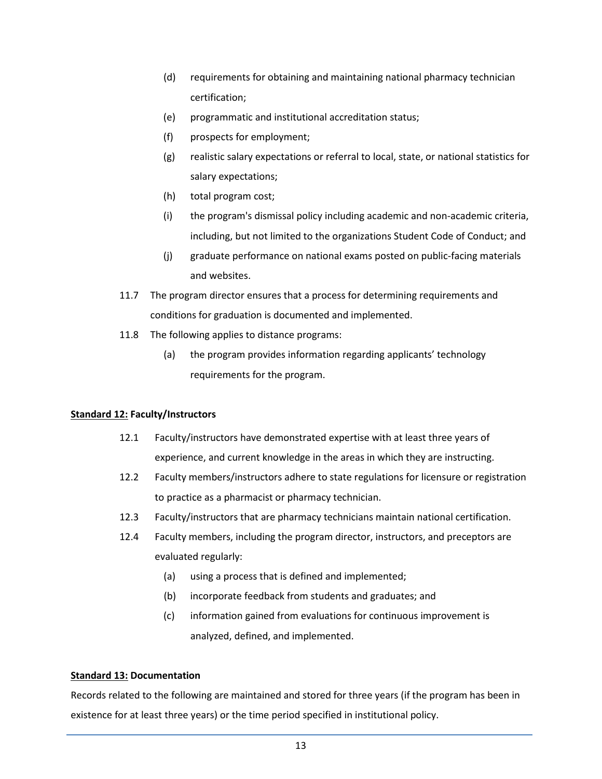- (d) requirements for obtaining and maintaining national pharmacy technician certification;
- (e) programmatic and institutional accreditation status;
- (f) prospects for employment;
- (g) realistic salary expectations or referral to local, state, or national statistics for salary expectations;
- (h) total program cost;
- (i) the program's dismissal policy including academic and non-academic criteria, including, but not limited to the organizations Student Code of Conduct; and
- (j) graduate performance on national exams posted on public-facing materials and websites.
- 11.7 The program director ensures that a process for determining requirements and conditions for graduation is documented and implemented.
- 11.8 The following applies to distance programs:
	- (a) the program provides information regarding applicants' technology requirements for the program.

## **Standard 12: Faculty/Instructors**

- 12.1 Faculty/instructors have demonstrated expertise with at least three years of experience, and current knowledge in the areas in which they are instructing.
- 12.2 Faculty members/instructors adhere to state regulations for licensure or registration to practice as a pharmacist or pharmacy technician.
- 12.3 Faculty/instructors that are pharmacy technicians maintain national certification.
- 12.4 Faculty members, including the program director, instructors, and preceptors are evaluated regularly:
	- (a) using a process that is defined and implemented;
	- (b) incorporate feedback from students and graduates; and
	- (c) information gained from evaluations for continuous improvement is analyzed, defined, and implemented.

## **Standard 13: Documentation**

Records related to the following are maintained and stored for three years (if the program has been in existence for at least three years) or the time period specified in institutional policy.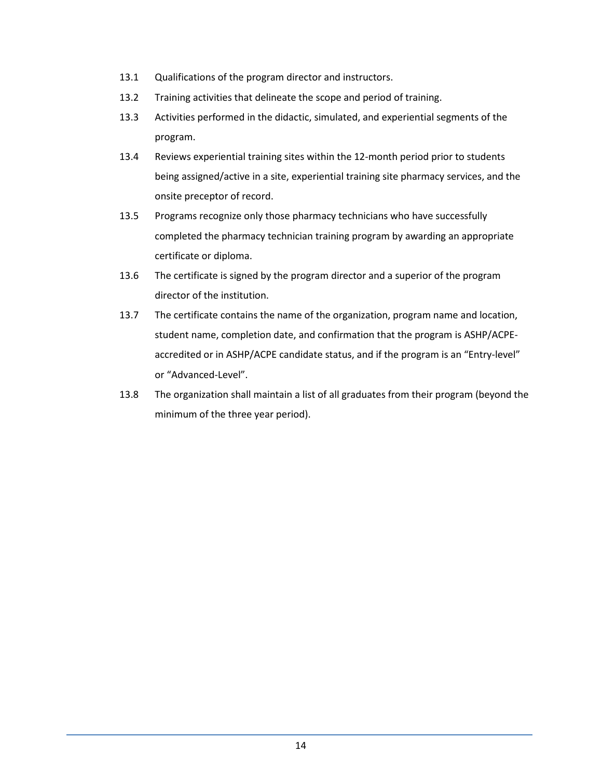- 13.1 Qualifications of the program director and instructors.
- 13.2 Training activities that delineate the scope and period of training.
- 13.3 Activities performed in the didactic, simulated, and experiential segments of the program.
- 13.4 Reviews experiential training sites within the 12-month period prior to students being assigned/active in a site, experiential training site pharmacy services, and the onsite preceptor of record.
- 13.5 Programs recognize only those pharmacy technicians who have successfully completed the pharmacy technician training program by awarding an appropriate certificate or diploma.
- 13.6 The certificate is signed by the program director and a superior of the program director of the institution.
- 13.7 The certificate contains the name of the organization, program name and location, student name, completion date, and confirmation that the program is ASHP/ACPEaccredited or in ASHP/ACPE candidate status, and if the program is an "Entry-level" or "Advanced-Level".
- 13.8 The organization shall maintain a list of all graduates from their program (beyond the minimum of the three year period).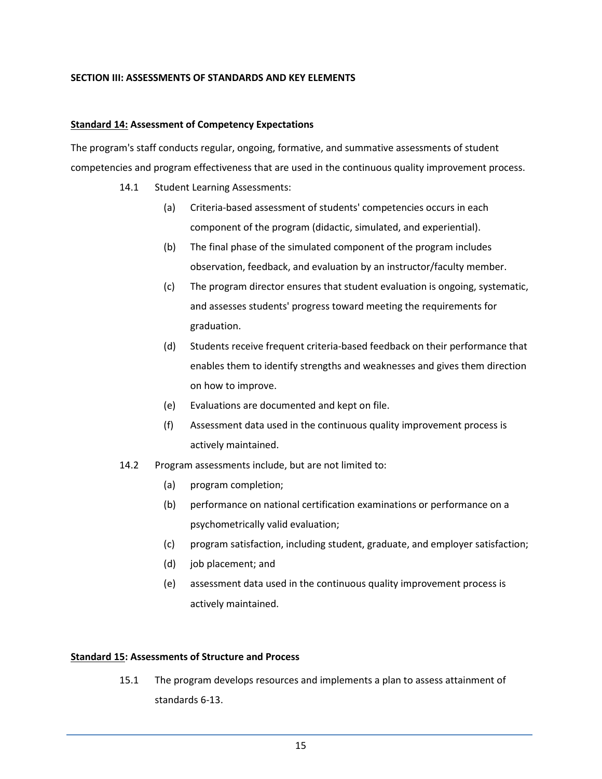## **SECTION III: ASSESSMENTS OF STANDARDS AND KEY ELEMENTS**

## **Standard 14: Assessment of Competency Expectations**

The program's staff conducts regular, ongoing, formative, and summative assessments of student competencies and program effectiveness that are used in the continuous quality improvement process.

- 14.1 Student Learning Assessments:
	- (a) Criteria-based assessment of students' competencies occurs in each component of the program (didactic, simulated, and experiential).
	- (b) The final phase of the simulated component of the program includes observation, feedback, and evaluation by an instructor/faculty member.
	- (c) The program director ensures that student evaluation is ongoing, systematic, and assesses students' progress toward meeting the requirements for graduation.
	- (d) Students receive frequent criteria-based feedback on their performance that enables them to identify strengths and weaknesses and gives them direction on how to improve.
	- (e) Evaluations are documented and kept on file.
	- (f) Assessment data used in the continuous quality improvement process is actively maintained.
- 14.2 Program assessments include, but are not limited to:
	- (a) program completion;
	- (b) performance on national certification examinations or performance on a psychometrically valid evaluation;
	- (c) program satisfaction, including student, graduate, and employer satisfaction;
	- (d) job placement; and
	- (e) assessment data used in the continuous quality improvement process is actively maintained.

## **Standard 15: Assessments of Structure and Process**

15.1 The program develops resources and implements a plan to assess attainment of standards 6-13.